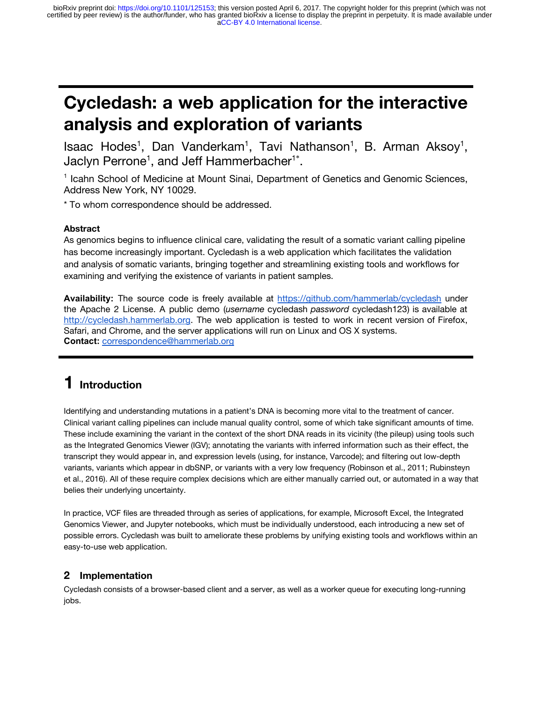# **Cycledash: a web application for the interactive analysis and exploration of variants**

Isaac Hodes<sup>1</sup>, Dan Vanderkam<sup>1</sup>, Tavi Nathanson<sup>1</sup>, B. Arman Aksoy<sup>1</sup>, Jaclyn Perrone<sup>1</sup>, and Jeff Hammerbacher<sup>1\*</sup>.

<sup>1</sup> Icahn School of Medicine at Mount Sinai, Department of Genetics and Genomic Sciences, Address New York, NY 10029.

\* To whom correspondence should be addressed.

#### **Abstract**

As genomics begins to influence clinical care, validating the result of a somatic variant calling pipeline has become increasingly important. Cycledash is a web application which facilitates the validation and analysis of somatic variants, bringing together and streamlining existing tools and workflows for examining and verifying the existence of variants in patient samples.

**Availability:** The source code is freely available at <https://github.com/hammerlab/cycledash> under the Apache 2 License. A public demo ( *username* cycledash *password* cycledash123) is available at [http://cycledash.hammerlab.org.](http://cycledash.hammerlab.org/) The web application is tested to work in recent version of Firefox, Safari, and Chrome, and the server applications will run on Linux and OS X systems. **Contact:** [correspondence@hammerlab.org](mailto:correspondence@hammerlab.org) 

# **1 Introduction**

Identifying and understanding mutations in a patient's DNA is becoming more vital to the treatment of cancer. Clinical variant calling pipelines can include manual quality control, some of which take significant amounts of time. These include examining the variant in the context of the short DNA reads in its vicinity (the pileup) using tools such as the Integrated Genomics Viewer (IGV); annotating the variants with inferred information such as their effect, the transcript they would appear in, and expression levels (using, for instance, Varcode); and filtering out low-depth variants, variants which appear in dbSNP, or variants with a very low frequency (Robinson et al., 2011; Rubinsteyn et al., 2016). All of these require complex decisions which are either manually carried out, or automated in a way that belies their underlying uncertainty.

In practice, VCF files are threaded through as series of applications, for example, Microsoft Excel, the Integrated Genomics Viewer, and Jupyter notebooks, which must be individually understood, each introducing a new set of possible errors. Cycledash was built to ameliorate these problems by unifying existing tools and workflows within an easy-to-use web application.

#### **2 Implementation**

Cycledash consists of a browser-based client and a server, as well as a worker queue for executing long-running jobs.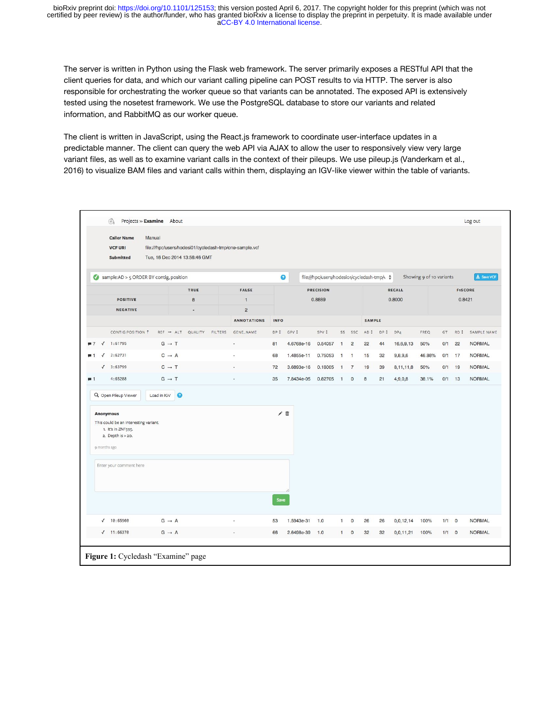The server is written in Python using the Flask web framework. The server primarily exposes a RESTful API that the client queries for data, and which our variant calling pipeline can POST results to via HTTP. The server is also responsible for orchestrating the worker queue so that variants can be annotated. The exposed API is extensively tested using the nosetest framework. We use the PostgreSQL database to store our variants and related information, and RabbitMQ as our worker queue.

The client is written in JavaScript, using the React.js framework to coordinate user-interface updates in a predictable manner. The client can query the web API via AJAX to allow the user to responsively view very large variant files, as well as to examine variant calls in the context of their pileups. We use pileup.js (Vanderkam et al., 2016) to visualize BAM files and variant calls within them, displaying an IGV-like viewer within the table of variants.

|                           | $\Phi$<br><b>Caller Name</b>                                                     | Projects » Examine About<br>Manual      |                                                   |                                                         |                  |            |         |                |                          |        |        |           |            |                |         | Log out       |
|---------------------------|----------------------------------------------------------------------------------|-----------------------------------------|---------------------------------------------------|---------------------------------------------------------|------------------|------------|---------|----------------|--------------------------|--------|--------|-----------|------------|----------------|---------|---------------|
|                           | <b>VCF URI</b><br><b>Submitted</b>                                               | Tue, 16 Dec 2014 13:56:46 GMT           |                                                   | file:///hpc/users/hodesi01/cycledash-tmp/one-sample.vcf |                  |            |         |                |                          |        |        |           |            |                |         |               |
|                           |                                                                                  | Sample:AD > 5 ORDER BY contig, position | file:///hpc/users/hodesio1/cycledash-tmp/v ↓<br>๏ |                                                         |                  |            |         |                | Showing 9 of 10 variants |        |        |           | 土 Save VCF |                |         |               |
|                           |                                                                                  | TRUE                                    |                                                   |                                                         | <b>PRECISION</b> |            |         |                |                          | RECALL |        |           |            | <b>FISCORE</b> |         |               |
|                           | <b>POSITIVE</b><br>$\overline{8}$                                                |                                         |                                                   | $\mathbf{1}$                                            |                  | 0.8889     |         |                |                          |        | 0.8000 |           |            | 0.8421         |         |               |
| <b>NEGATIVE</b>           |                                                                                  | ٠                                       |                                                   | $\overline{2}$<br><b>ANNOTATIONS</b>                    | <b>INFO</b>      |            |         |                | <b>SAMPLE</b>            |        |        |           |            |                |         |               |
|                           | CONTIG:POSITION 1                                                                | $REF$ $\rightarrow$ ALT                 | QUALITY<br><b>FILTERS</b>                         | <b>GENE_NAME</b>                                        | DP #             | GPV :      | SPV ‡   | SS             | SSC                      | AD \$  | DP \$  | DP4       | FREQ       | GT             | RD \$   | SAMPLE NAME   |
|                           | 1:61795                                                                          | $G \rightarrow T$                       |                                                   | í,                                                      | 81               | 4.6768e-16 | 0.54057 | $\mathbf{1}$   | $\overline{c}$           | 22     | 44     | 16,6,9,13 | 50%        | 0/1            | 22      | <b>NORMAL</b> |
|                           | 2:62731                                                                          | $C \rightarrow A$                       |                                                   |                                                         | 68               | 1.4855e-11 | 0.75053 | $\overline{1}$ | $\overline{1}$           | 15     | 32     | 9,8,9,6   | 46.88%     | O/1            | 17      | <b>NORMAL</b> |
| $\sqrt{2}$                | 3:63799                                                                          | $C \rightarrow T$                       |                                                   |                                                         | 72               | 3.6893e-16 | 0.18005 | и              | $\overline{7}$           | 19     | 39     | 8,11,11,8 | 50%        | O/1            | 19      | <b>NORMAL</b> |
|                           | 4:65288                                                                          | $G \rightarrow T$                       |                                                   |                                                         | 35               | 7.8434e-05 | 0.82705 | -1             | $\circ$                  | 8      | 21     | 4,9,0,8   | 38.1%      | 0/1            | 13      | <b>NORMAL</b> |
|                           | Q Open Pileup Viewer                                                             | Load in IGV<br>$\bullet$                |                                                   |                                                         |                  |            |         |                |                          |        |        |           |            |                |         |               |
| Anonymous<br>9 months ago | This could be an interesting variant.<br>1. It's in ZNF595.<br>2. Depth is > 20. |                                         |                                                   |                                                         | ノ言               |            |         |                |                          |        |        |           |            |                |         |               |
|                           | Enter your comment here                                                          |                                         |                                                   |                                                         |                  |            |         |                |                          |        |        |           |            |                |         |               |
|                           | $\sqrt{10:65900}$                                                                | $G \rightarrow A$                       |                                                   |                                                         | Save<br>53       | 1.5943e-31 | 1.0     | $\mathbf{1}$   | $\mathbf{0}$             | 26     | 26     | 0,0,12,14 | 100%       | $1/1$ 0        |         | <b>NORMAL</b> |
|                           | 11:66370                                                                         | $G \rightarrow A$                       |                                                   |                                                         | 66               | 2.6498e-39 | 1.0     | $\mathbf{1}$   | $\mathsf 0$              | 32     | 32     | 0,0,11,21 | 100%       | $1/1$          | $\circ$ | <b>NORMAL</b> |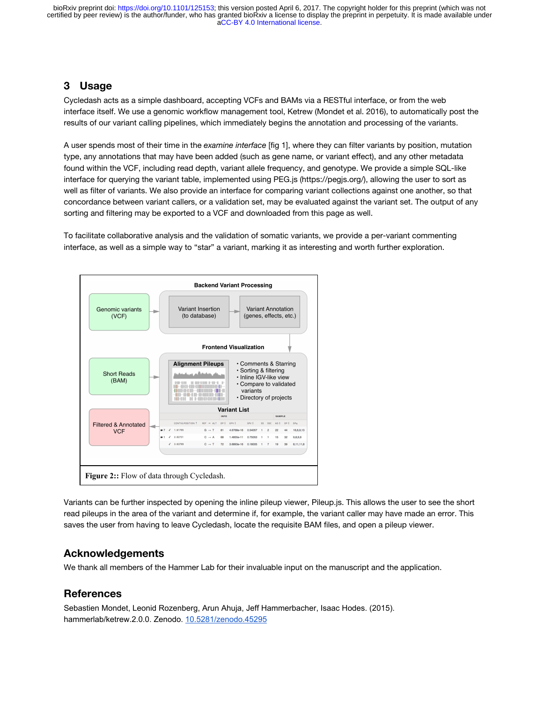[aCC-BY 4.0 International license.](http://creativecommons.org/licenses/by/4.0/) certified by peer review) is the author/funder, who has granted bioRxiv a license to display the preprint in perpetuity. It is made available under bioRxiv preprint doi: [https://doi.org/10.1101/125153;](https://doi.org/10.1101/125153) this version posted April 6, 2017. The copyright holder for this preprint (which was not

### **3 Usage**

Cycledash acts as a simple dashboard, accepting VCFs and BAMs via a RESTful interface, or from the web interface itself. We use a genomic workflow management tool, Ketrew (Mondet et al. 2016), to automatically post the results of our variant calling pipelines, which immediately begins the annotation and processing of the variants.

A user spends most of their time in the *examine interface* [fig 1], where they can filter variants by position, mutation type, any annotations that may have been added (such as gene name, or variant effect), and any other metadata found within the VCF, including read depth, variant allele frequency, and genotype. We provide a simple SQL-like interface for querying the variant table, implemented using PEG.js (https://pegjs.org/), allowing the user to sort as well as filter of variants. We also provide an interface for comparing variant collections against one another, so that concordance between variant callers, or a validation set, may be evaluated against the variant set. The output of any sorting and filtering may be exported to a VCF and downloaded from this page as well.

To facilitate collaborative analysis and the validation of somatic variants, we provide a per-variant commenting interface, as well as a simple way to "star" a variant, marking it as interesting and worth further exploration.



Variants can be further inspected by opening the inline pileup viewer, Pileup.js. This allows the user to see the short read pileups in the area of the variant and determine if, for example, the variant caller may have made an error. This saves the user from having to leave Cycledash, locate the requisite BAM files, and open a pileup viewer.

#### **Acknowledgements**

We thank all members of the Hammer Lab for their invaluable input on the manuscript and the application.

## **References**

Sebastien Mondet, Leonid Rozenberg, Arun Ahuja, Jeff Hammerbacher, Isaac Hodes. (2015). hammerlab/ketrew.2.0.0. Zenodo. [10.5281/zenodo.45295](http://dx.doi.org/10.5281/zenodo.45295)